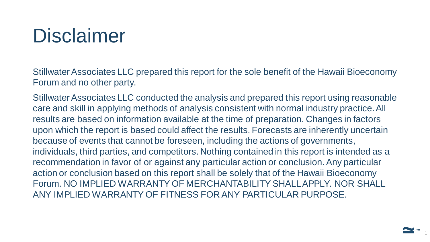### Disclaimer

Stillwater Associates LLC prepared this report for the sole benefit of the Hawaii Bioeconomy Forum and no other party.

Stillwater Associates LLC conducted the analysis and prepared this report using reasonable care and skill in applying methods of analysis consistent with normal industry practice. All results are based on information available at the time of preparation. Changes in factors upon which the report is based could affect the results. Forecasts are inherently uncertain because of events that cannot be foreseen, including the actions of governments, individuals, third parties, and competitors. Nothing contained in this report is intended as a recommendation in favor of or against any particular action or conclusion. Any particular action or conclusion based on this report shall be solely that of the Hawaii Bioeconomy Forum. NO IMPLIED WARRANTY OF MERCHANTABILITY SHALL APPLY. NOR SHALL ANY IMPLIED WARRANTY OF FITNESS FOR ANY PARTICULAR PURPOSE.

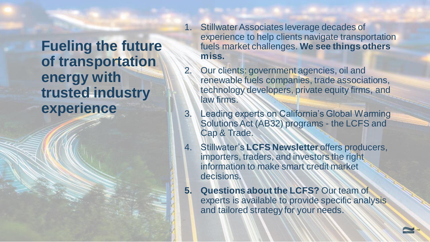**Fueling the future of transportation energy with trusted industry experience**

- 1. Stillwater Associates leverage decades of experience to help clients navigate transportation fuels market challenges. **We see things others miss.**
- 2. Our clients: government agencies, oil and renewable fuels companies, trade associations, technology developers, private equity firms, and law firms.
- 3. Leading experts on California's Global Warming Solutions Act (AB32) programs - the LCFS and Cap & Trade.
- 4. Stillwater's **LCFS Newsletter** offers producers, importers, traders, and investors the right information to make smart credit market decisions.
- **5. Questions about the LCFS?** Our team of experts is available to provide specific analysis and tailored strategy for your needs.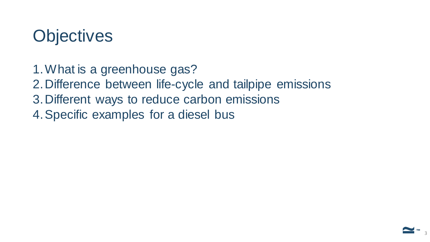#### **Objectives**

- 1.What is a greenhouse gas?
- 2.Difference between life-cycle and tailpipe emissions
- 3.Different ways to reduce carbon emissions
- 4.Specific examples for a diesel bus

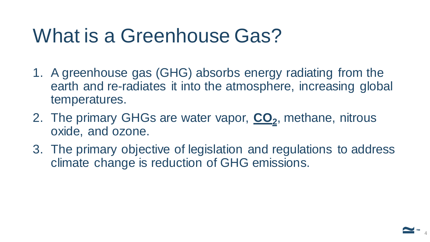### What is a Greenhouse Gas?

- 1. A greenhouse gas (GHG) absorbs energy radiating from the earth and re-radiates it into the atmosphere, increasing global temperatures.
- 2. The primary GHGs are water vapor, **CO<sup>2</sup>** , methane, nitrous oxide, and ozone.
- 3. The primary objective of legislation and regulations to address climate change is reduction of GHG emissions.

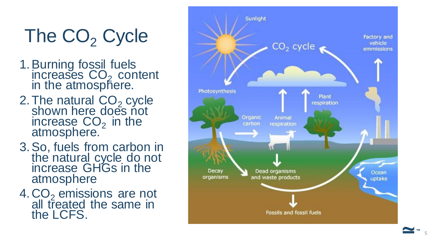# The CO<sub>2</sub> Cycle

- 1.Burning fossil fuels increases  $CO<sub>2</sub>$  content in the atmosphere.
- 2. The natural CO<sub>2</sub> cycle shown here does not increase  $CO<sub>2</sub>$  in the atmosphere.
- 3.So, fuels from carbon in the natural cycle do not increase GHGs in the atmosphere
- 4.CO <sup>2</sup> emissions are not all treated the same in the LCFS.

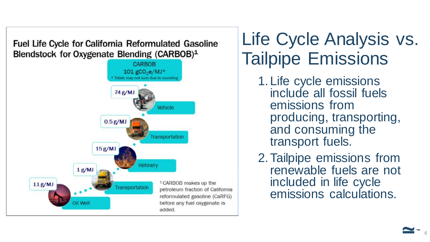**Fuel Life Cycle for California Reformulated Gasoline** Blendstock for Oxygenate Blending (CARBOB)<sup>1</sup>



#### Life Cycle Analysis vs. Tailpipe Emissions

- 1.Life cycle emissions include all fossil fuels emissions from producing, transporting, and consuming the transport fuels.
- 2.Tailpipe emissions from renewable fuels are not included in life cycle emissions calculations.

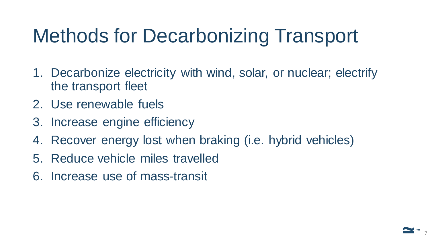# Methods for Decarbonizing Transport

- 1. Decarbonize electricity with wind, solar, or nuclear; electrify the transport fleet
- 2. Use renewable fuels
- 3. Increase engine efficiency
- 4. Recover energy lost when braking (i.e. hybrid vehicles)
- 5. Reduce vehicle miles travelled
- 6. Increase use of mass-transit

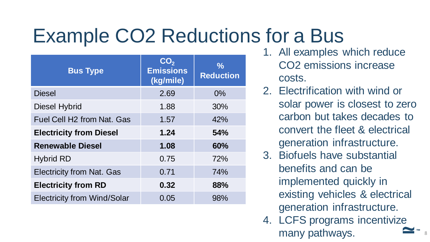## Example CO2 Reductions for a Bus

| <b>Bus Type</b>                        | CO <sub>2</sub><br><b>Emissions</b><br>(kg/mile) | $\frac{0}{0}$<br><b>Reduction</b> |
|----------------------------------------|--------------------------------------------------|-----------------------------------|
| <b>Diesel</b>                          | 2.69                                             | 0%                                |
| <b>Diesel Hybrid</b>                   | 1.88                                             | 30%                               |
| Fuel Cell H <sub>2</sub> from Nat. Gas | 1.57                                             | 42%                               |
| <b>Electricity from Diesel</b>         | 1.24                                             | <b>54%</b>                        |
| <b>Renewable Diesel</b>                | 1.08                                             | 60%                               |
| <b>Hybrid RD</b>                       | 0.75                                             | 72%                               |
| <b>Electricity from Nat. Gas</b>       | 0.71                                             | 74%                               |
| <b>Electricity from RD</b>             | 0.32                                             | 88%                               |
| <b>Electricity from Wind/Solar</b>     | 0.05                                             | 98%                               |

- 1. All examples which reduce CO2 emissions increase costs.
- 2. Electrification with wind or solar power is closest to zero carbon but takes decades to convert the fleet & electrical generation infrastructure.
- 3. Biofuels have substantial benefits and can be implemented quickly in existing vehicles & electrical generation infrastructure.
- 4. LCFS programs incentivize many pathways.

**™**

8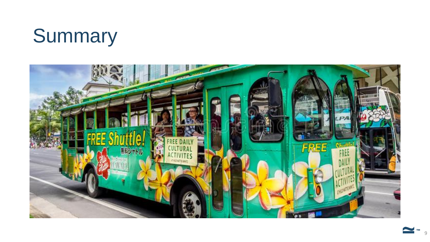### Summary